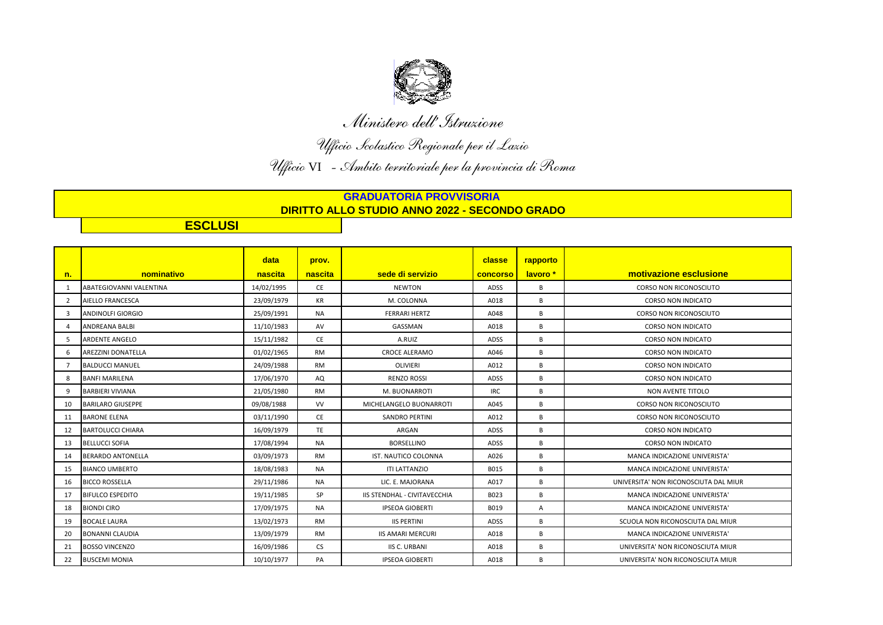

*Ministero dell'Istruzione*

*Ufficio Scolastico Regionale per il Lazio Ufficio* VI *- Ambito territoriale per la provincia di Roma* 

## **GRADUATORIA PROVVISORIA DIRITTO ALLO STUDIO ANNO 2022 - SECONDO GRADO**

**ESCLUSI**

|                |                                | data       | prov.     |                                     | classe          | rapporto |                                       |
|----------------|--------------------------------|------------|-----------|-------------------------------------|-----------------|----------|---------------------------------------|
| n.             | nominativo                     | nascita    | nascita   | sede di servizio                    | <b>concorso</b> | lavoro * | motivazione esclusione                |
| 1              | <b>ABATEGIOVANNI VALENTINA</b> | 14/02/1995 | <b>CE</b> | <b>NEWTON</b>                       | <b>ADSS</b>     | B        | <b>CORSO NON RICONOSCIUTO</b>         |
| $\overline{2}$ | AIELLO FRANCESCA               | 23/09/1979 | <b>KR</b> | M. COLONNA                          | A018            | B        | <b>CORSO NON INDICATO</b>             |
| 3              | <b>ANDINOLFI GIORGIO</b>       | 25/09/1991 | <b>NA</b> | <b>FERRARI HERTZ</b>                | A048            | B        | <b>CORSO NON RICONOSCIUTO</b>         |
| 4              | <b>ANDREANA BALBI</b>          | 11/10/1983 | AV        | GASSMAN                             | A018            | B        | <b>CORSO NON INDICATO</b>             |
| 5              | <b>ARDENTE ANGELO</b>          | 15/11/1982 | <b>CE</b> | A.RUIZ                              | <b>ADSS</b>     | B        | <b>CORSO NON INDICATO</b>             |
| 6              | <b>AREZZINI DONATELLA</b>      | 01/02/1965 | <b>RM</b> | <b>CROCE ALERAMO</b>                | A046            | B        | <b>CORSO NON INDICATO</b>             |
| $\overline{7}$ | <b>BALDUCCI MANUEL</b>         | 24/09/1988 | <b>RM</b> | <b>OLIVIERI</b>                     | A012            | B        | <b>CORSO NON INDICATO</b>             |
| 8              | <b>BANFI MARILENA</b>          | 17/06/1970 | AQ        | <b>RENZO ROSSI</b>                  | ADSS            | B        | CORSO NON INDICATO                    |
| 9              | <b>BARBIERI VIVIANA</b>        | 21/05/1980 | RM        | M. BUONARROTI                       | <b>IRC</b>      | В        | NON AVENTE TITOLO                     |
| 10             | <b>BARILARO GIUSEPPE</b>       | 09/08/1988 | <b>VV</b> | MICHELANGELO BUONARROTI             | A045            | B        | <b>CORSO NON RICONOSCIUTO</b>         |
| 11             | <b>BARONE ELENA</b>            | 03/11/1990 | CE        | <b>SANDRO PERTINI</b>               | A012            | B        | <b>CORSO NON RICONOSCIUTO</b>         |
| 12             | <b>BARTOLUCCI CHIARA</b>       | 16/09/1979 | TE        | ARGAN                               | ADSS            | B        | CORSO NON INDICATO                    |
| 13             | <b>BELLUCCI SOFIA</b>          | 17/08/1994 | <b>NA</b> | <b>BORSELLINO</b>                   | ADSS            | B        | <b>CORSO NON INDICATO</b>             |
| 14             | <b>BERARDO ANTONELLA</b>       | 03/09/1973 | <b>RM</b> | IST. NAUTICO COLONNA                | A026            | B        | MANCA INDICAZIONE UNIVERISTA'         |
| 15             | <b>BIANCO UMBERTO</b>          | 18/08/1983 | NA        | <b>ITI LATTANZIO</b>                | B015            | В        | MANCA INDICAZIONE UNIVERISTA'         |
| 16             | <b>BICCO ROSSELLA</b>          | 29/11/1986 | NA        | LIC. E. MAJORANA                    | A017            | B        | UNIVERSITA' NON RICONOSCIUTA DAL MIUR |
| 17             | <b>BIFULCO ESPEDITO</b>        | 19/11/1985 | SP        | <b>IIS STENDHAL - CIVITAVECCHIA</b> | B023            | B        | MANCA INDICAZIONE UNIVERISTA'         |
| 18             | <b>BIONDI CIRO</b>             | 17/09/1975 | <b>NA</b> | <b>IPSEOA GIOBERTI</b>              | B019            | A        | MANCA INDICAZIONE UNIVERISTA'         |
| 19             | <b>BOCALE LAURA</b>            | 13/02/1973 | <b>RM</b> | <b>IIS PERTINI</b>                  | ADSS            | B        | SCUOLA NON RICONOSCIUTA DAL MIUR      |
| 20             | <b>BONANNI CLAUDIA</b>         | 13/09/1979 | <b>RM</b> | <b>IIS AMARI MERCURI</b>            | A018            | B        | MANCA INDICAZIONE UNIVERISTA'         |
| 21             | <b>BOSSO VINCENZO</b>          | 16/09/1986 | CS        | <b>IIS C. URBANI</b>                | A018            | B        | UNIVERSITA' NON RICONOSCIUTA MIUR     |
| 22             | <b>BUSCEMI MONIA</b>           | 10/10/1977 | PA        | <b>IPSEOA GIOBERTI</b>              | A018            | B        | UNIVERSITA' NON RICONOSCIUTA MIUR     |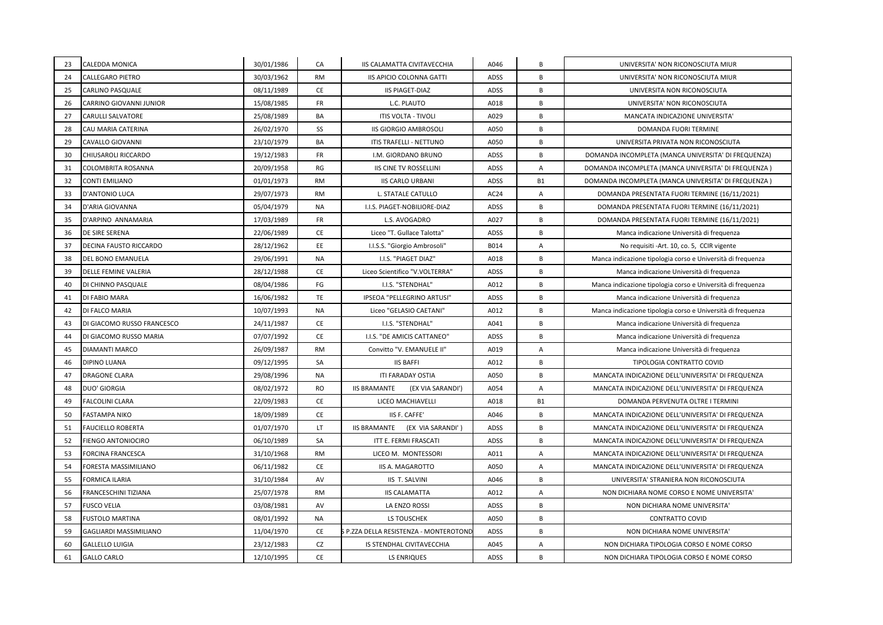| 23 | CALEDDA MONICA              | 30/01/1986 | CA        | IIS CALAMATTA CIVITAVECCHIA              | A046        | В              | UNIVERSITA' NON RICONOSCIUTA MIUR                           |
|----|-----------------------------|------------|-----------|------------------------------------------|-------------|----------------|-------------------------------------------------------------|
| 24 | CALLEGARO PIETRO            | 30/03/1962 | <b>RM</b> | IIS APICIO COLONNA GATTI                 | <b>ADSS</b> | B              | UNIVERSITA' NON RICONOSCIUTA MIUR                           |
| 25 | CARLINO PASQUALE            | 08/11/1989 | CE        | <b>IIS PIAGET-DIAZ</b>                   | ADSS        | B              | UNIVERSITA NON RICONOSCIUTA                                 |
| 26 | CARRINO GIOVANNI JUNIOR     | 15/08/1985 | <b>FR</b> | L.C. PLAUTO                              | A018        | В              | UNIVERSITA' NON RICONOSCIUTA                                |
| 27 | CARULLI SALVATORE           | 25/08/1989 | BA        | <b>ITIS VOLTA - TIVOLI</b>               | A029        | B              | MANCATA INDICAZIONE UNIVERSITA'                             |
| 28 | CAU MARIA CATERINA          | 26/02/1970 | SS        | <b>IIS GIORGIO AMBROSOLI</b>             | A050        | B              | DOMANDA FUORI TERMINE                                       |
| 29 | CAVALLO GIOVANNI            | 23/10/1979 | BA        | ITIS TRAFELLI - NETTUNO                  | A050        | В              | UNIVERSITA PRIVATA NON RICONOSCIUTA                         |
| 30 | CHIUSAROLI RICCARDO         | 19/12/1983 | FR        | I.M. GIORDANO BRUNO                      | ADSS        | B              | DOMANDA INCOMPLETA (MANCA UNIVERSITA' DI FREQUENZA)         |
| 31 | COLOMBRITA ROSANNA          | 20/09/1958 | RG        | <b>IIS CINE TV ROSSELLINI</b>            | <b>ADSS</b> | A              | DOMANDA INCOMPLETA (MANCA UNIVERSITA' DI FREQUENZA)         |
| 32 | CONTI EMILIANO              | 01/01/1973 | RM        | <b>IIS CARLO URBANI</b>                  | <b>ADSS</b> | <b>B1</b>      | DOMANDA INCOMPLETA (MANCA UNIVERSITA' DI FREQUENZA)         |
| 33 | <b>D'ANTONIO LUCA</b>       | 29/07/1973 | <b>RM</b> | L. STATALE CATULLO                       | AC24        | A              | DOMANDA PRESENTATA FUORI TERMINE (16/11/2021)               |
| 34 | D'ARIA GIOVANNA             | 05/04/1979 | <b>NA</b> | I.I.S. PIAGET-NOBILIORE-DIAZ             | ADSS        | B              | DOMANDA PRESENTATA FUORI TERMINE (16/11/2021)               |
| 35 | D'ARPINO ANNAMARIA          | 17/03/1989 | FR        | L.S. AVOGADRO                            | A027        | B              | DOMANDA PRESENTATA FUORI TERMINE (16/11/2021)               |
| 36 | DE SIRE SERENA              | 22/06/1989 | CE        | Liceo "T. Gullace Talotta"               | <b>ADSS</b> | B              | Manca indicazione Università di freguenza                   |
| 37 | DECINA FAUSTO RICCARDO      | 28/12/1962 | EE        | I.I.S.S. "Giorgio Ambrosoli"             | B014        | A              | No requisiti -Art. 10, co. 5, CCIR vigente                  |
| 38 | DEL BONO EMANUELA           | 29/06/1991 | NA        | I.I.S. "PIAGET DIAZ"                     | A018        | B              | Manca indicazione tipologia corso e Università di frequenza |
| 39 | <b>DELLE FEMINE VALERIA</b> | 28/12/1988 | CE        | Liceo Scientifico "V.VOLTERRA"           | ADSS        | B              | Manca indicazione Università di freguenza                   |
| 40 | DI CHINNO PASQUALE          | 08/04/1986 | FG        | I.I.S. "STENDHAL"                        | A012        | B              | Manca indicazione tipologia corso e Università di frequenza |
| 41 | DI FABIO MARA               | 16/06/1982 | <b>TE</b> | IPSEOA "PELLEGRINO ARTUSI"               | ADSS        | B              | Manca indicazione Università di frequenza                   |
| 42 | DI FALCO MARIA              | 10/07/1993 | <b>NA</b> | Liceo "GELASIO CAETANI"                  | A012        | B              | Manca indicazione tipologia corso e Università di frequenza |
| 43 | DI GIACOMO RUSSO FRANCESCO  | 24/11/1987 | CE        | I.I.S. "STENDHAL"                        | A041        | B              | Manca indicazione Università di frequenza                   |
| 44 | DI GIACOMO RUSSO MARIA      | 07/07/1992 | CE        | I.I.S. "DE AMICIS CATTANEO"              | <b>ADSS</b> | B              | Manca indicazione Università di frequenza                   |
| 45 | <b>DIAMANTI MARCO</b>       | 26/09/1987 | <b>RM</b> | Convitto "V. EMANUELE II"                | A019        | $\overline{A}$ | Manca indicazione Università di freguenza                   |
| 46 | <b>DIPINO LUANA</b>         | 09/12/1995 | SA        | <b>IIS BAFFI</b>                         | A012        | В              | TIPOLOGIA CONTRATTO COVID                                   |
| 47 | <b>DRAGONE CLARA</b>        | 29/08/1996 | <b>NA</b> | ITI FARADAY OSTIA                        | A050        | B              | MANCATA INDICAZIONE DELL'UNIVERSITA' DI FREQUENZA           |
| 48 | <b>DUO' GIORGIA</b>         | 08/02/1972 | <b>RO</b> | <b>IIS BRAMANTE</b><br>(EX VIA SARANDI') | A054        | $\overline{A}$ | MANCATA INDICAZIONE DELL'UNIVERSITA' DI FREQUENZA           |
| 49 | FALCOLINI CLARA             | 22/09/1983 | CE        | LICEO MACHIAVELLI                        | A018        | <b>B1</b>      | DOMANDA PERVENUTA OLTRE I TERMINI                           |
| 50 | FASTAMPA NIKO               | 18/09/1989 | CE        | IIS F. CAFFE'                            | A046        | B              | MANCATA INDICAZIONE DELL'UNIVERSITA' DI FREQUENZA           |
| 51 | <b>FAUCIELLO ROBERTA</b>    | 01/07/1970 | LT.       | <b>IIS BRAMANTE</b><br>(EX VIA SARANDI') | ADSS        | B              | MANCATA INDICAZIONE DELL'UNIVERSITA' DI FREQUENZA           |
| 52 | FIENGO ANTONIOCIRO          | 06/10/1989 | SA        | ITT E. FERMI FRASCATI                    | ADSS        | В              | MANCATA INDICAZIONE DELL'UNIVERSITA' DI FREQUENZA           |
| 53 | <b>FORCINA FRANCESCA</b>    | 31/10/1968 | <b>RM</b> | LICEO M. MONTESSORI                      | A011        | $\overline{A}$ | MANCATA INDICAZIONE DELL'UNIVERSITA' DI FREQUENZA           |
| 54 | FORESTA MASSIMILIANO        | 06/11/1982 | <b>CE</b> | <b>IIS A. MAGAROTTO</b>                  | A050        | A              | MANCATA INDICAZIONE DELL'UNIVERSITA' DI FREQUENZA           |
| 55 | FORMICA ILARIA              | 31/10/1984 | AV        | <b>IIS T. SALVINI</b>                    | A046        | В              | UNIVERSITA' STRANIERA NON RICONOSCIUTA                      |
| 56 | FRANCESCHINI TIZIANA        | 25/07/1978 | <b>RM</b> | <b>IIS CALAMATTA</b>                     | A012        | $\overline{A}$ | NON DICHIARA NOME CORSO E NOME UNIVERSITA'                  |
| 57 | <b>FUSCO VELIA</b>          | 03/08/1981 | AV        | LA ENZO ROSSI                            | ADSS        | B              | NON DICHIARA NOME UNIVERSITA'                               |
| 58 | <b>FUSTOLO MARTINA</b>      | 08/01/1992 | NA        | LS TOUSCHEK                              | A050        | B              | <b>CONTRATTO COVID</b>                                      |
| 59 | GAGLIARDI MASSIMILIANO      | 11/04/1970 | CE        | S P.ZZA DELLA RESISTENZA - MONTEROTOND   | <b>ADSS</b> | B              | NON DICHIARA NOME UNIVERSITA'                               |
| 60 | GALLELLO LUIGIA             | 23/12/1983 | CZ        | IS STENDHAL CIVITAVECCHIA                | A045        | Α              | NON DICHIARA TIPOLOGIA CORSO E NOME CORSO                   |
| 61 | <b>GALLO CARLO</b>          | 12/10/1995 | CE        | <b>LS ENRIQUES</b>                       | ADSS        | B              | NON DICHIARA TIPOLOGIA CORSO E NOME CORSO                   |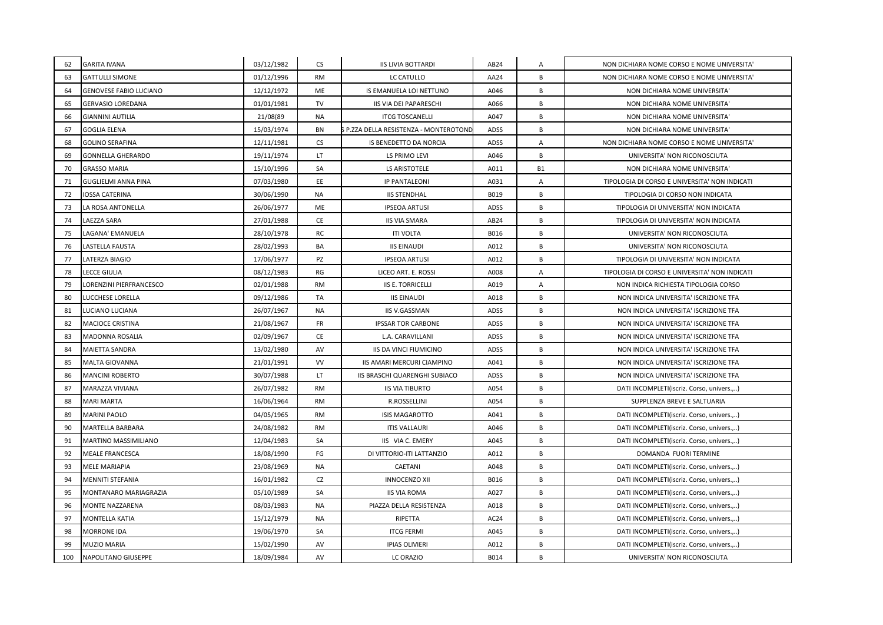| 62  | <b>GARITA IVANA</b>      | 03/12/1982 | CS        | <b>IIS LIVIA BOTTARDI</b>              | AB24             | A              | NON DICHIARA NOME CORSO E NOME UNIVERSITA'    |
|-----|--------------------------|------------|-----------|----------------------------------------|------------------|----------------|-----------------------------------------------|
| 63  | <b>GATTULLI SIMONE</b>   | 01/12/1996 | <b>RM</b> | LC CATULLO                             | AA24             | B              | NON DICHIARA NOME CORSO E NOME UNIVERSITA'    |
| 64  | GENOVESE FABIO LUCIANO   | 12/12/1972 | ME        | IS EMANUELA LOI NETTUNO                | A046             | B              | NON DICHIARA NOME UNIVERSITA'                 |
| 65  | <b>GERVASIO LOREDANA</b> | 01/01/1981 | TV        | IIS VIA DEI PAPARESCHI                 | A066             | В              | NON DICHIARA NOME UNIVERSITA'                 |
| 66  | <b>GIANNINI AUTILIA</b>  | 21/08(89   | <b>NA</b> | <b>ITCG TOSCANELLI</b>                 | A047             | B              | NON DICHIARA NOME UNIVERSITA'                 |
| 67  | <b>GOGLIA ELENA</b>      | 15/03/1974 | <b>BN</b> | S P.ZZA DELLA RESISTENZA - MONTEROTONE | ADSS             | B              | NON DICHIARA NOME UNIVERSITA'                 |
| 68  | <b>GOLINO SERAFINA</b>   | 12/11/1981 | CS        | IS BENEDETTO DA NORCIA                 | ADSS             | Α              | NON DICHIARA NOME CORSO E NOME UNIVERSITA'    |
| 69  | <b>GONNELLA GHERARDO</b> | 19/11/1974 | LT.       | LS PRIMO LEVI                          | A046             | B              | UNIVERSITA' NON RICONOSCIUTA                  |
| 70  | <b>GRASSO MARIA</b>      | 15/10/1996 | SA        | LS ARISTOTELE                          | A011             | <b>B1</b>      | NON DICHIARA NOME UNIVERSITA'                 |
| 71  | GUGLIELMI ANNA PINA      | 07/03/1980 | EE        | <b>IP PANTALEONI</b>                   | A031             | Α              | TIPOLOGIA DI CORSO E UNIVERSITA' NON INDICATI |
| 72  | IOSSA CATERINA           | 30/06/1990 | NA        | <b>IIS STENDHAL</b>                    | B019             | B              | TIPOLOGIA DI CORSO NON INDICATA               |
| 73  | LA ROSA ANTONELLA        | 26/06/1977 | ME        | <b>IPSEOA ARTUSI</b>                   | ADSS             | B              | TIPOLOGIA DI UNIVERSITA' NON INDICATA         |
| 74  | LAEZZA SARA              | 27/01/1988 | CE        | <b>IIS VIA SMARA</b>                   | AB24             | В              | TIPOLOGIA DI UNIVERSITA' NON INDICATA         |
| 75  | LAGANA' EMANUELA         | 28/10/1978 | RC        | <b>ITI VOLTA</b>                       | B016             | B              | UNIVERSITA' NON RICONOSCIUTA                  |
| 76  | LASTELLA FAUSTA          | 28/02/1993 | BA        | <b>IIS EINAUDI</b>                     | A012             | B              | UNIVERSITA' NON RICONOSCIUTA                  |
| 77  | LATERZA BIAGIO           | 17/06/1977 | PZ        | <b>IPSEOA ARTUSI</b>                   | A012             | B              | TIPOLOGIA DI UNIVERSITA' NON INDICATA         |
| 78  | <b>LECCE GIULIA</b>      | 08/12/1983 | RG        | LICEO ART. E. ROSSI                    | A008             | $\overline{A}$ | TIPOLOGIA DI CORSO E UNIVERSITA' NON INDICATI |
| 79  | LORENZINI PIERFRANCESCO  | 02/01/1988 | <b>RM</b> | <b>IIS E. TORRICELLI</b>               | A019             | $\mathsf{A}$   | NON INDICA RICHIESTA TIPOLOGIA CORSO          |
| 80  | LUCCHESE LORELLA         | 09/12/1986 | <b>TA</b> | <b>IIS EINAUDI</b>                     | A018             | B              | NON INDICA UNIVERSITA' ISCRIZIONE TFA         |
| 81  | LUCIANO LUCIANA          | 26/07/1967 | <b>NA</b> | <b>IIS V.GASSMAN</b>                   | ADSS             | B              | NON INDICA UNIVERSITA' ISCRIZIONE TFA         |
| 82  | MACIOCE CRISTINA         | 21/08/1967 | <b>FR</b> | <b>IPSSAR TOR CARBONE</b>              | ADSS             | В              | NON INDICA UNIVERSITA' ISCRIZIONE TFA         |
| 83  | MADONNA ROSALIA          | 02/09/1967 | <b>CE</b> | L.A. CARAVILLANI                       | <b>ADSS</b>      | B              | NON INDICA UNIVERSITA' ISCRIZIONE TFA         |
| 84  | MAIETTA SANDRA           | 13/02/1980 | AV        | IIS DA VINCI FIUMICINO                 | <b>ADSS</b>      | B              | NON INDICA UNIVERSITA' ISCRIZIONE TFA         |
| 85  | MALTA GIOVANNA           | 21/01/1991 | VV        | IIS AMARI MERCURI CIAMPINO             | A041             | В              | NON INDICA UNIVERSITA' ISCRIZIONE TFA         |
| 86  | <b>MANCINI ROBERTO</b>   | 30/07/1988 | LT        | IIS BRASCHI QUARENGHI SUBIACO          | <b>ADSS</b>      | B              | NON INDICA UNIVERSITA' ISCRIZIONE TFA         |
| 87  | MARAZZA VIVIANA          | 26/07/1982 | <b>RM</b> | <b>IIS VIA TIBURTO</b>                 | A054             | В              | DATI INCOMPLETI(iscriz. Corso, univers.,)     |
| 88  | <b>MARI MARTA</b>        | 16/06/1964 | <b>RM</b> | <b>R.ROSSELLINI</b>                    | A054             | В              | SUPPLENZA BREVE E SALTUARIA                   |
| 89  | <b>MARINI PAOLO</b>      | 04/05/1965 | <b>RM</b> | <b>ISIS MAGAROTTO</b>                  | A041             | B              | DATI INCOMPLETI(iscriz. Corso, univers)       |
| 90  | MARTELLA BARBARA         | 24/08/1982 | <b>RM</b> | <b>ITIS VALLAURI</b>                   | A046             | B              | DATI INCOMPLETI(iscriz. Corso, univers.,)     |
| 91  | MARTINO MASSIMILIANO     | 12/04/1983 | SA        | IIS VIA C. EMERY                       | A045             | B              | DATI INCOMPLETI(iscriz. Corso, univers.,)     |
| 92  | <b>MEALE FRANCESCA</b>   | 18/08/1990 | FG        | DI VITTORIO-ITI LATTANZIO              | A012             | B              | DOMANDA FUORI TERMINE                         |
| 93  | MELE MARIAPIA            | 23/08/1969 | <b>NA</b> | CAETANI                                | A048             | В              | DATI INCOMPLETI(iscriz. Corso, univers.,)     |
| 94  | MENNITI STEFANIA         | 16/01/1982 | CZ        | <b>INNOCENZO XII</b>                   | <b>B016</b>      | В              | DATI INCOMPLETI(iscriz. Corso, univers.,)     |
| 95  | MONTANARO MARIAGRAZIA    | 05/10/1989 | SA        | <b>IIS VIA ROMA</b>                    | A027             | B              | DATI INCOMPLETI(iscriz. Corso, univers.,)     |
| 96  | MONTE NAZZARENA          | 08/03/1983 | <b>NA</b> | PIAZZA DELLA RESISTENZA                | A018             | B              | DATI INCOMPLETI(iscriz. Corso, univers.,)     |
| 97  | <b>MONTELLA KATIA</b>    | 15/12/1979 | <b>NA</b> | RIPETTA                                | AC <sub>24</sub> | B              | DATI INCOMPLETI(iscriz. Corso, univers.,)     |
| 98  | <b>MORRONE IDA</b>       | 19/06/1970 | SA        | <b>ITCG FERMI</b>                      | A045             | B              | DATI INCOMPLETI(iscriz. Corso, univers.,)     |
| 99  | MUZIO MARIA              | 15/02/1990 | AV        | <b>IPIAS OLIVIERI</b>                  | A012             | В              | DATI INCOMPLETI(iscriz. Corso, univers.,)     |
| 100 | NAPOLITANO GIUSEPPE      | 18/09/1984 | AV        | LC ORAZIO                              | B014             | B              | UNIVERSITA' NON RICONOSCIUTA                  |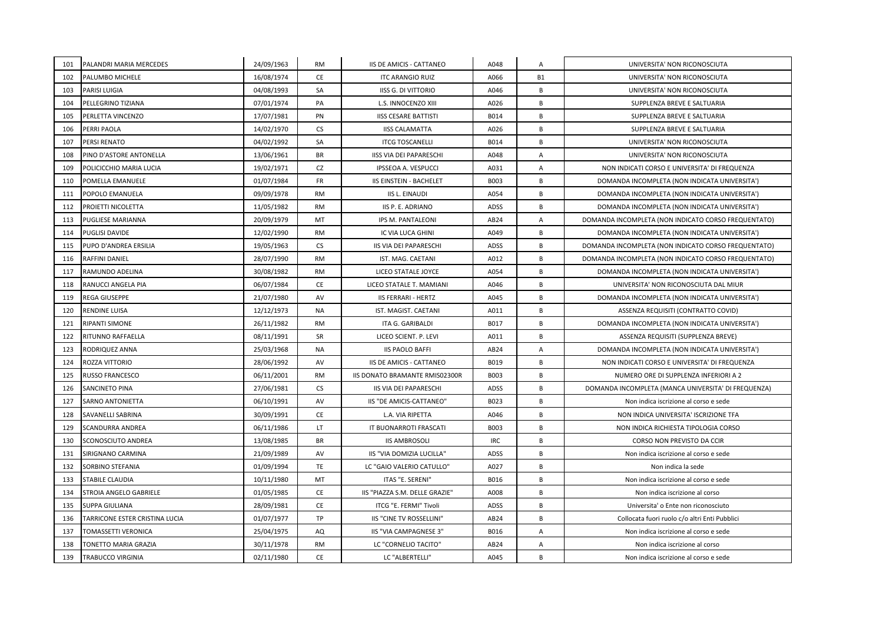| 101 | PALANDRI MARIA MERCEDES        | 24/09/1963 | <b>RM</b> | IIS DE AMICIS - CATTANEO       | A048        | A              | UNIVERSITA' NON RICONOSCIUTA                        |
|-----|--------------------------------|------------|-----------|--------------------------------|-------------|----------------|-----------------------------------------------------|
| 102 | PALUMBO MICHELE                | 16/08/1974 | CE        | <b>ITC ARANGIO RUIZ</b>        | A066        | <b>B1</b>      | UNIVERSITA' NON RICONOSCIUTA                        |
| 103 | <b>PARISI LUIGIA</b>           | 04/08/1993 | SA        | <b>IISS G. DI VITTORIO</b>     | A046        | B              | UNIVERSITA' NON RICONOSCIUTA                        |
| 104 | PELLEGRINO TIZIANA             | 07/01/1974 | PA        | L.S. INNOCENZO XIII            | A026        | B              | SUPPLENZA BREVE E SALTUARIA                         |
| 105 | PERLETTA VINCENZO              | 17/07/1981 | PN        | <b>IISS CESARE BATTISTI</b>    | B014        | B              | SUPPLENZA BREVE E SALTUARIA                         |
| 106 | PERRI PAOLA                    | 14/02/1970 | <b>CS</b> | <b>IISS CALAMATTA</b>          | A026        | B              | SUPPLENZA BREVE E SALTUARIA                         |
| 107 | PERSI RENATO                   | 04/02/1992 | SA        | <b>ITCG TOSCANELLI</b>         | B014        | $\overline{B}$ | UNIVERSITA' NON RICONOSCIUTA                        |
| 108 | PINO D'ASTORE ANTONELLA        | 13/06/1961 | <b>BR</b> | <b>IISS VIA DEI PAPARESCHI</b> | A048        | A              | UNIVERSITA' NON RICONOSCIUTA                        |
| 109 | POLICICCHIO MARIA LUCIA        | 19/02/1971 | CZ        | IPSSEOA A. VESPUCCI            | A031        | $\mathsf{A}$   | NON INDICATI CORSO E UNIVERSITA' DI FREQUENZA       |
| 110 | POMELLA EMANUELE               | 01/07/1984 | <b>FR</b> | <b>IIS EINSTEIN - BACHELET</b> | <b>B003</b> | B              | DOMANDA INCOMPLETA (NON INDICATA UNIVERSITA')       |
| 111 | POPOLO EMANUELA                | 09/09/1978 | <b>RM</b> | <b>IIS L. EINAUDI</b>          | A054        | B              | DOMANDA INCOMPLETA (NON INDICATA UNIVERSITA')       |
| 112 | PROIETTI NICOLETTA             | 11/05/1982 | <b>RM</b> | IIS P. E. ADRIANO              | <b>ADSS</b> | B              | DOMANDA INCOMPLETA (NON INDICATA UNIVERSITA')       |
| 113 | PUGLIESE MARIANNA              | 20/09/1979 | MT        | IPS M. PANTALEONI              | AB24        | $\overline{A}$ | DOMANDA INCOMPLETA (NON INDICATO CORSO FREQUENTATO) |
| 114 | <b>PUGLISI DAVIDE</b>          | 12/02/1990 | <b>RM</b> | IC VIA LUCA GHINI              | A049        | B              | DOMANDA INCOMPLETA (NON INDICATA UNIVERSITA')       |
| 115 | PUPO D'ANDREA ERSILIA          | 19/05/1963 | <b>CS</b> | <b>IIS VIA DEI PAPARESCHI</b>  | <b>ADSS</b> | B              | DOMANDA INCOMPLETA (NON INDICATO CORSO FREQUENTATO) |
| 116 | RAFFINI DANIEL                 | 28/07/1990 | <b>RM</b> | IST. MAG. CAETANI              | A012        | B              | DOMANDA INCOMPLETA (NON INDICATO CORSO FREQUENTATO) |
| 117 | RAMUNDO ADELINA                | 30/08/1982 | <b>RM</b> | LICEO STATALE JOYCE            | A054        | B              | DOMANDA INCOMPLETA (NON INDICATA UNIVERSITA')       |
| 118 | RANUCCI ANGELA PIA             | 06/07/1984 | CE        | LICEO STATALE T. MAMIANI       | A046        | B              | UNIVERSITA' NON RICONOSCIUTA DAL MIUR               |
| 119 | REGA GIUSEPPE                  | 21/07/1980 | AV        | <b>IIS FERRARI - HERTZ</b>     | A045        | B              | DOMANDA INCOMPLETA (NON INDICATA UNIVERSITA')       |
| 120 | RENDINE LUISA                  | 12/12/1973 | <b>NA</b> | IST. MAGIST. CAETANI           | A011        | B              | ASSENZA REQUISITI (CONTRATTO COVID)                 |
| 121 | RIPANTI SIMONE                 | 26/11/1982 | <b>RM</b> | ITA G. GARIBALDI               | B017        | B              | DOMANDA INCOMPLETA (NON INDICATA UNIVERSITA')       |
| 122 | RITUNNO RAFFAELLA              | 08/11/1991 | <b>SR</b> | LICEO SCIENT. P. LEVI          | A011        | B              | ASSENZA REQUISITI (SUPPLENZA BREVE)                 |
| 123 | RODRIQUEZ ANNA                 | 25/03/1968 | <b>NA</b> | <b>IIS PAOLO BAFFI</b>         | AB24        | Α              | DOMANDA INCOMPLETA (NON INDICATA UNIVERSITA')       |
| 124 | ROZZA VITTORIO                 | 28/06/1992 | AV        | IIS DE AMICIS - CATTANEO       | B019        | B              | NON INDICATI CORSO E UNIVERSITA' DI FREQUENZA       |
| 125 | RUSSO FRANCESCO                | 06/11/2001 | <b>RM</b> | IIS DONATO BRAMANTE RMIS02300R | <b>B003</b> | B              | NUMERO ORE DI SUPPLENZA INFERIORI A 2               |
| 126 | SANCINETO PINA                 | 27/06/1981 | <b>CS</b> | IIS VIA DEI PAPARESCHI         | <b>ADSS</b> | B              | DOMANDA INCOMPLETA (MANCA UNIVERSITA' DI FREQUENZA) |
| 127 | SARNO ANTONIETTA               | 06/10/1991 | AV        | IIS "DE AMICIS-CATTANEO"       | B023        | B              | Non indica iscrizione al corso e sede               |
| 128 | SAVANELLI SABRINA              | 30/09/1991 | <b>CE</b> | L.A. VIA RIPETTA               | A046        | B              | NON INDICA UNIVERSITA' ISCRIZIONE TFA               |
| 129 | <b>SCANDURRA ANDREA</b>        | 06/11/1986 | <b>LT</b> | IT BUONARROTI FRASCATI         | B003        | B              | NON INDICA RICHIESTA TIPOLOGIA CORSO                |
| 130 | SCONOSCIUTO ANDREA             | 13/08/1985 | <b>BR</b> | <b>IIS AMBROSOLI</b>           | IRC         | B              | CORSO NON PREVISTO DA CCIR                          |
| 131 | SIRIGNANO CARMINA              | 21/09/1989 | AV        | IIS "VIA DOMIZIA LUCILLA"      | <b>ADSS</b> | B              | Non indica iscrizione al corso e sede               |
| 132 | SORBINO STEFANIA               | 01/09/1994 | TE        | LC "GAIO VALERIO CATULLO"      | A027        | B              | Non indica la sede                                  |
| 133 | STABILE CLAUDIA                | 10/11/1980 | MT        | ITAS "E. SERENI"               | <b>B016</b> | B              | Non indica iscrizione al corso e sede               |
| 134 | STROIA ANGELO GABRIELE         | 01/05/1985 | <b>CE</b> | IIS "PIAZZA S.M. DELLE GRAZIE" | A008        | B              | Non indica iscrizione al corso                      |
| 135 | <b>SUPPA GIULIANA</b>          | 28/09/1981 | CE        | ITCG "E. FERMI" Tivoli         | <b>ADSS</b> | B              | Universita' o Ente non riconosciuto                 |
| 136 | TARRICONE ESTER CRISTINA LUCIA | 01/07/1977 | TP        | IIS "CINE TV ROSSELLINI"       | AB24        | B              | Collocata fuori ruolo c/o altri Enti Pubblici       |
| 137 | TOMASSETTI VERONICA            | 25/04/1975 | AQ        | IIS "VIA CAMPAGNESE 3"         | B016        | $\overline{A}$ | Non indica iscrizione al corso e sede               |
| 138 | TONETTO MARIA GRAZIA           | 30/11/1978 | RM        | LC "CORNELIO TACITO"           | AB24        | Α              | Non indica iscrizione al corso                      |
| 139 | TRABUCCO VIRGINIA              | 02/11/1980 | CE        | LC "ALBERTELLI"                | A045        | B              | Non indica iscrizione al corso e sede               |